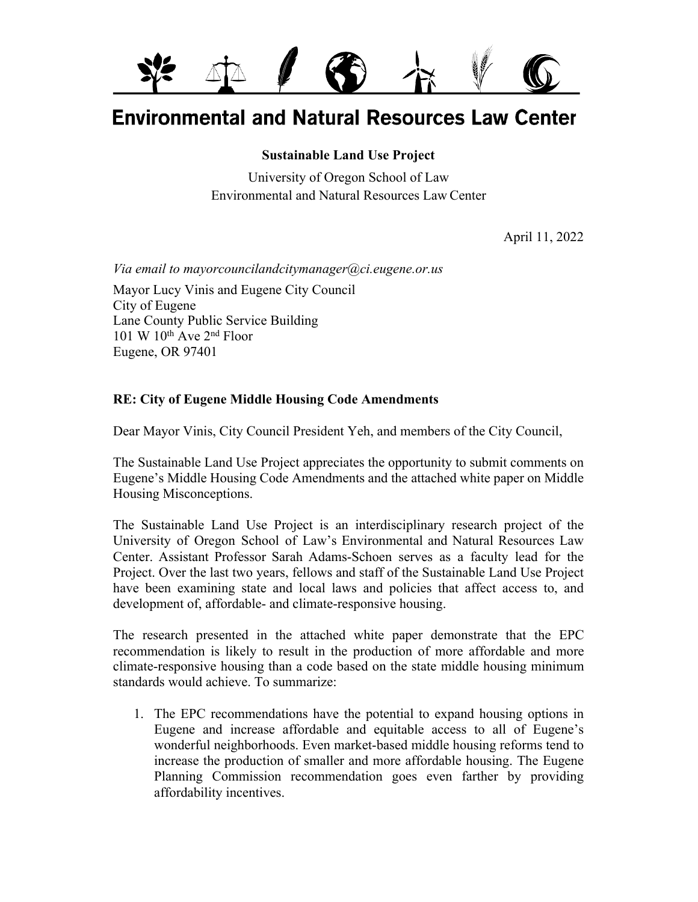

# **Environmental and Natural Resources Law Center**

#### **Sustainable Land Use Project**

University of Oregon School of Law Environmental and Natural Resources Law Center

April 11, 2022

*Via email to mayorcouncilandcitymanager@ci.eugene.or.us*

Mayor Lucy Vinis and Eugene City Council City of Eugene Lane County Public Service Building 101 W  $10^{th}$  Ave  $2^{nd}$  Floor Eugene, OR 97401

#### **RE: City of Eugene Middle Housing Code Amendments**

Dear Mayor Vinis, City Council President Yeh, and members of the City Council,

The Sustainable Land Use Project appreciates the opportunity to submit comments on Eugene's Middle Housing Code Amendments and the attached white paper on Middle Housing Misconceptions.

The Sustainable Land Use Project is an interdisciplinary research project of the University of Oregon School of Law's Environmental and Natural Resources Law Center. Assistant Professor Sarah Adams-Schoen serves as a faculty lead for the Project. Over the last two years, fellows and staff of the Sustainable Land Use Project have been examining state and local laws and policies that affect access to, and development of, affordable- and climate-responsive housing.

The research presented in the attached white paper demonstrate that the EPC recommendation is likely to result in the production of more affordable and more climate-responsive housing than a code based on the state middle housing minimum standards would achieve. To summarize:

1. The EPC recommendations have the potential to expand housing options in Eugene and increase affordable and equitable access to all of Eugene's wonderful neighborhoods. Even market-based middle housing reforms tend to increase the production of smaller and more affordable housing. The Eugene Planning Commission recommendation goes even farther by providing affordability incentives.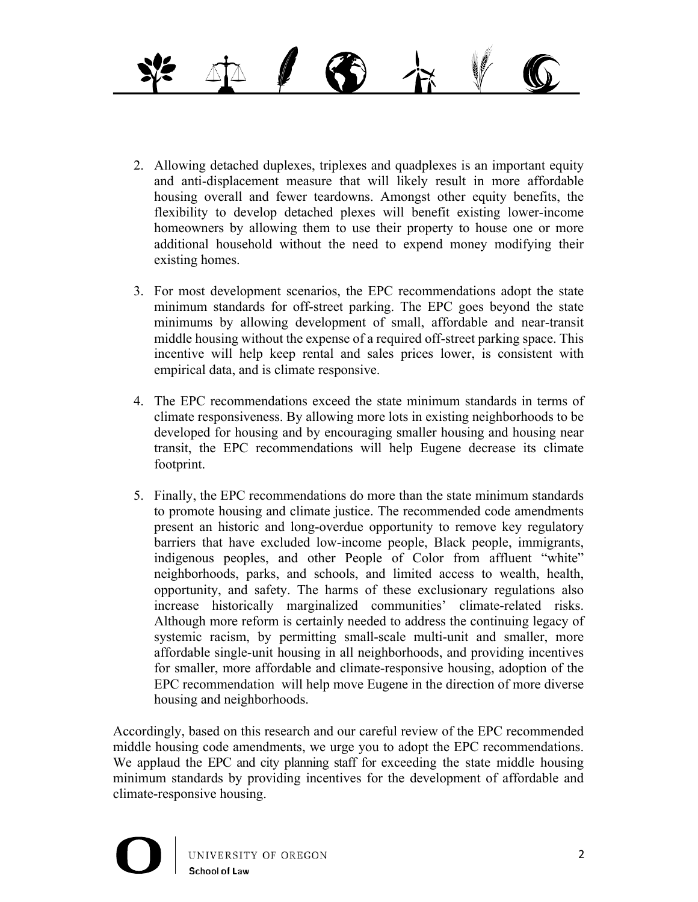

- 2. Allowing detached duplexes, triplexes and quadplexes is an important equity and anti-displacement measure that will likely result in more affordable housing overall and fewer teardowns. Amongst other equity benefits, the flexibility to develop detached plexes will benefit existing lower-income homeowners by allowing them to use their property to house one or more additional household without the need to expend money modifying their existing homes.
- 3. For most development scenarios, the EPC recommendations adopt the state minimum standards for off-street parking. The EPC goes beyond the state minimums by allowing development of small, affordable and near-transit middle housing without the expense of a required off-street parking space. This incentive will help keep rental and sales prices lower, is consistent with empirical data, and is climate responsive.
- 4. The EPC recommendations exceed the state minimum standards in terms of climate responsiveness. By allowing more lots in existing neighborhoods to be developed for housing and by encouraging smaller housing and housing near transit, the EPC recommendations will help Eugene decrease its climate footprint.
- 5. Finally, the EPC recommendations do more than the state minimum standards to promote housing and climate justice. The recommended code amendments present an historic and long-overdue opportunity to remove key regulatory barriers that have excluded low-income people, Black people, immigrants, indigenous peoples, and other People of Color from affluent "white" neighborhoods, parks, and schools, and limited access to wealth, health, opportunity, and safety. The harms of these exclusionary regulations also increase historically marginalized communities' climate-related risks. Although more reform is certainly needed to address the continuing legacy of systemic racism, by permitting small-scale multi-unit and smaller, more affordable single-unit housing in all neighborhoods, and providing incentives for smaller, more affordable and climate-responsive housing, adoption of the EPC recommendation will help move Eugene in the direction of more diverse housing and neighborhoods.

Accordingly, based on this research and our careful review of the EPC recommended middle housing code amendments, we urge you to adopt the EPC recommendations. We applaud the EPC and city planning staff for exceeding the state middle housing minimum standards by providing incentives for the development of affordable and climate-responsive housing.



UNIVERSITY OF OREGON **School of Law**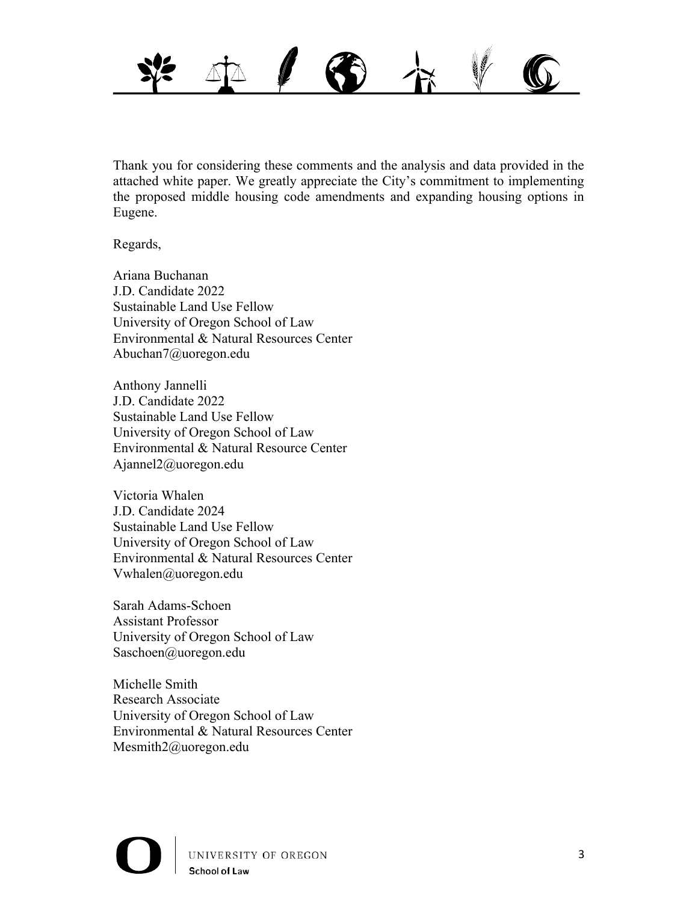

Thank you for considering these comments and the analysis and data provided in the attached white paper. We greatly appreciate the City's commitment to implementing the proposed middle housing code amendments and expanding housing options in Eugene.

Regards,

Ariana Buchanan J.D. Candidate 2022 Sustainable Land Use Fellow University of Oregon School of Law Environmental & Natural Resources Center Abuchan7@uoregon.edu

Anthony Jannelli J.D. Candidate 2022 Sustainable Land Use Fellow University of Oregon School of Law Environmental & Natural Resource Center Ajannel2@uoregon.edu

Victoria Whalen J.D. Candidate 2024 Sustainable Land Use Fellow University of Oregon School of Law Environmental & Natural Resources Center Vwhalen@uoregon.edu

Sarah Adams-Schoen Assistant Professor University of Oregon School of Law Saschoen@uoregon.edu

Michelle Smith Research Associate University of Oregon School of Law Environmental & Natural Resources Center Mesmith2@uoregon.edu

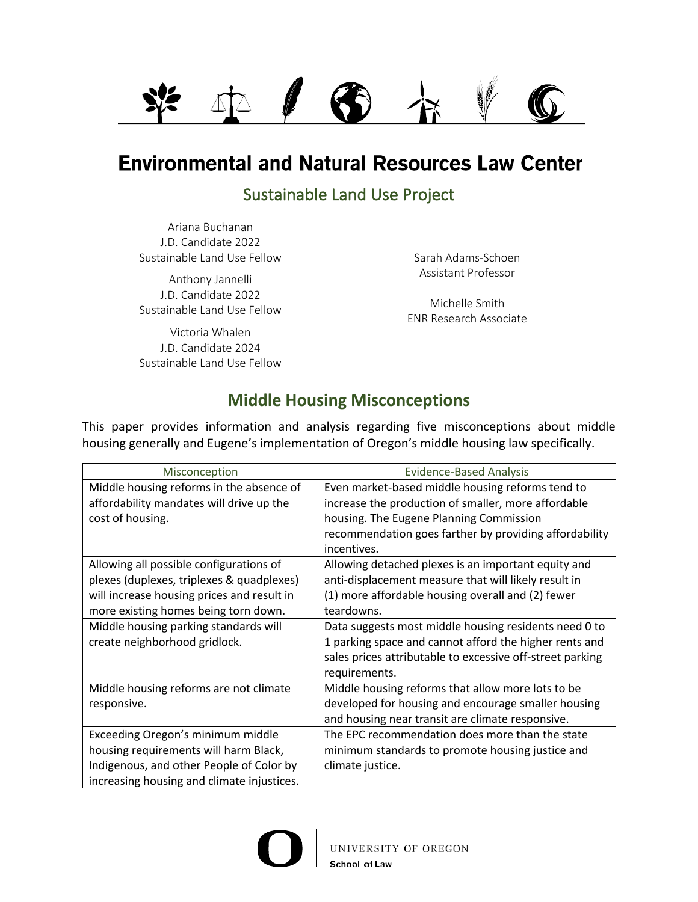

# **Environmental and Natural Resources Law Center**

# Sustainable Land Use Project

Ariana Buchanan J.D. Candidate 2022 Sustainable Land Use Fellow

Anthony Jannelli J.D. Candidate 2022 Sustainable Land Use Fellow

Victoria Whalen J.D. Candidate 2024 Sustainable Land Use Fellow Sarah Adams-Schoen Assistant Professor

Michelle Smith ENR Research Associate

## **Middle Housing Misconceptions**

This paper provides information and analysis regarding five misconceptions about middle housing generally and Eugene's implementation of Oregon's middle housing law specifically.

| Misconception                                                                                                                                                                                                                                        | <b>Evidence-Based Analysis</b>                                                                                                                                                                                                                                                                                                                                 |
|------------------------------------------------------------------------------------------------------------------------------------------------------------------------------------------------------------------------------------------------------|----------------------------------------------------------------------------------------------------------------------------------------------------------------------------------------------------------------------------------------------------------------------------------------------------------------------------------------------------------------|
| Middle housing reforms in the absence of<br>affordability mandates will drive up the<br>cost of housing.                                                                                                                                             | Even market-based middle housing reforms tend to<br>increase the production of smaller, more affordable<br>housing. The Eugene Planning Commission<br>recommendation goes farther by providing affordability<br>incentives.                                                                                                                                    |
| Allowing all possible configurations of<br>plexes (duplexes, triplexes & quadplexes)<br>will increase housing prices and result in<br>more existing homes being torn down.<br>Middle housing parking standards will<br>create neighborhood gridlock. | Allowing detached plexes is an important equity and<br>anti-displacement measure that will likely result in<br>(1) more affordable housing overall and (2) fewer<br>teardowns.<br>Data suggests most middle housing residents need 0 to<br>1 parking space and cannot afford the higher rents and<br>sales prices attributable to excessive off-street parking |
| Middle housing reforms are not climate<br>responsive.                                                                                                                                                                                                | requirements.<br>Middle housing reforms that allow more lots to be<br>developed for housing and encourage smaller housing<br>and housing near transit are climate responsive.                                                                                                                                                                                  |
| Exceeding Oregon's minimum middle<br>housing requirements will harm Black,<br>Indigenous, and other People of Color by<br>increasing housing and climate injustices.                                                                                 | The EPC recommendation does more than the state<br>minimum standards to promote housing justice and<br>climate justice.                                                                                                                                                                                                                                        |

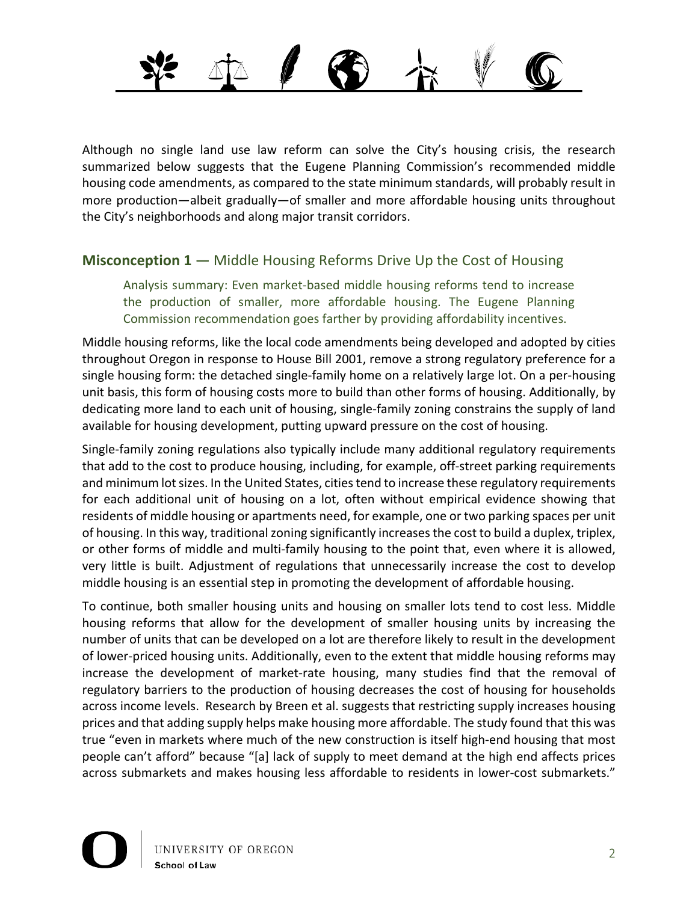Although no single land use law reform can solve the City's housing crisis, the research summarized below suggests that the Eugene Planning Commission's recommended middle housing code amendments, as compared to the state minimum standards, will probably result in more production—albeit gradually—of smaller and more affordable housing units throughout the City's neighborhoods and along major transit corridors.

#### **Misconception 1** — Middle Housing Reforms Drive Up the Cost of Housing

Analysis summary: Even market-based middle housing reforms tend to increase the production of smaller, more affordable housing. The Eugene Planning Commission recommendation goes farther by providing affordability incentives.

Middle housing reforms, like the local code amendments being developed and adopted by cities throughout Oregon in response to House Bill 2001, remove a strong regulatory preference for a single housing form: the detached single-family home on a relatively large lot. On a per-housing unit basis, this form of housing costs more to build than other forms of housing. Additionally, by dedicating more land to each unit of housing, single-family zoning constrains the supply of land available for housing development, putting upward pressure on the cost of housing.

Single-family zoning regulations also typically include many additional regulatory requirements that add to the cost to produce housing, including, for example, off-street parking requirements and minimum lot sizes. In the United States, cities tend to increase these regulatory requirements for each additional unit of housing on a lot, often without empirical evidence showing that residents of middle housing or apartments need, for example, one or two parking spaces per unit of housing. In this way, traditional zoning significantly increases the cost to build a duplex, triplex, or other forms of middle and multi-family housing to the point that, even where it is allowed, very little is built. Adjustment of regulations that unnecessarily increase the cost to develop middle housing is an essential step in promoting the development of affordable housing.

To continue, both smaller housing units and housing on smaller lots tend to cost less. Middle housing reforms that allow for the development of smaller housing units by increasing the number of units that can be developed on a lot are therefore likely to result in the development of lower-priced housing units. Additionally, even to the extent that middle housing reforms may increase the development of market-rate housing, many studies find that the removal of regulatory barriers to the production of housing decreases the cost of housing for households across income levels. Research by Breen et al. suggests that restricting supply increases housing prices and that adding supply helps make housing more affordable. The study found that this was true "even in markets where much of the new construction is itself high-end housing that most people can't afford" because "[a] lack of supply to meet demand at the high end affects prices across submarkets and makes housing less affordable to residents in lower-cost submarkets."

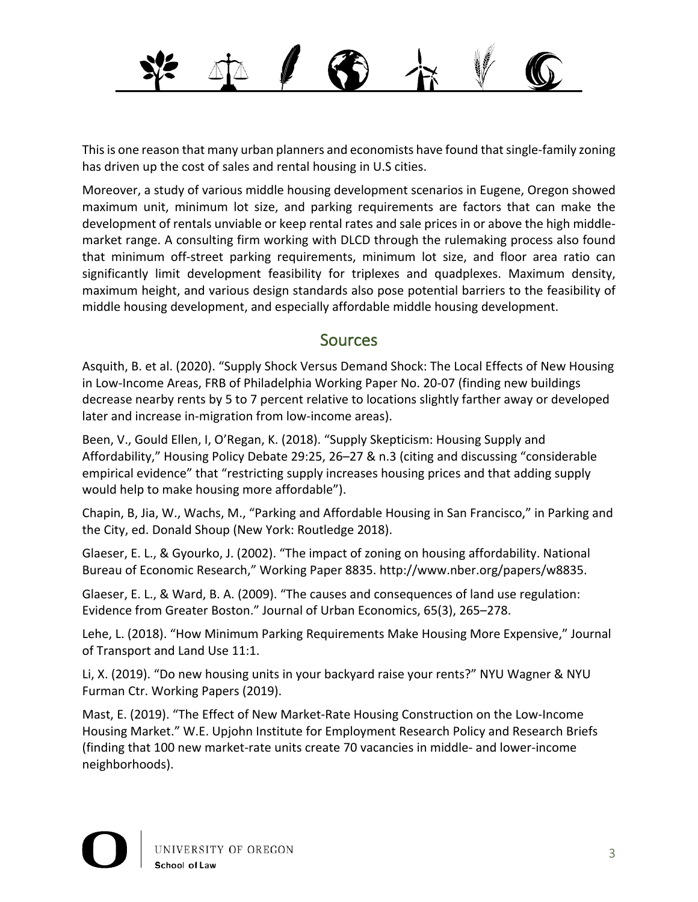This is one reason that many urban planners and economists have found that single-family zoning has driven up the cost of sales and rental housing in U.S cities.

Moreover, a study of various middle housing development scenarios in Eugene, Oregon showed maximum unit, minimum lot size, and parking requirements are factors that can make the development of rentals unviable or keep rental rates and sale prices in or above the high middlemarket range. A consulting firm working with DLCD through the rulemaking process also found that minimum off-street parking requirements, minimum lot size, and floor area ratio can significantly limit development feasibility for triplexes and quadplexes. Maximum density, maximum height, and various design standards also pose potential barriers to the feasibility of middle housing development, and especially affordable middle housing development.

#### **Sources**

Asquith, B. et al. (2020). "Supply Shock Versus Demand Shock: The Local Effects of New Housing in Low-Income Areas, FRB of Philadelphia Working Paper No. 20-07 (finding new buildings decrease nearby rents by 5 to 7 percent relative to locations slightly farther away or developed later and increase in-migration from low-income areas).

Been, V., Gould Ellen, I, O'Regan, K. (2018). "Supply Skepticism: Housing Supply and Affordability," Housing Policy Debate 29:25, 26–27 & n.3 (citing and discussing "considerable empirical evidence" that "restricting supply increases housing prices and that adding supply would help to make housing more affordable").

Chapin, B, Jia, W., Wachs, M., "Parking and Affordable Housing in San Francisco," in Parking and the City, ed. Donald Shoup (New York: Routledge 2018).

Glaeser, E. L., & Gyourko, J. (2002). "The impact of zoning on housing affordability. National Bureau of Economic Research," Working Paper 8835. http://www.nber.org/papers/w8835.

Glaeser, E. L., & Ward, B. A. (2009). "The causes and consequences of land use regulation: Evidence from Greater Boston." Journal of Urban Economics, 65(3), 265–278.

Lehe, L. (2018). "How Minimum Parking Requirements Make Housing More Expensive," Journal of Transport and Land Use 11:1.

Li, X. (2019). "Do new housing units in your backyard raise your rents?" NYU Wagner & NYU Furman Ctr. Working Papers (2019).

Mast, E. (2019). "The Effect of New Market-Rate Housing Construction on the Low-Income Housing Market." W.E. Upjohn Institute for Employment Research Policy and Research Briefs (finding that 100 new market-rate units create 70 vacancies in middle- and lower-income neighborhoods).

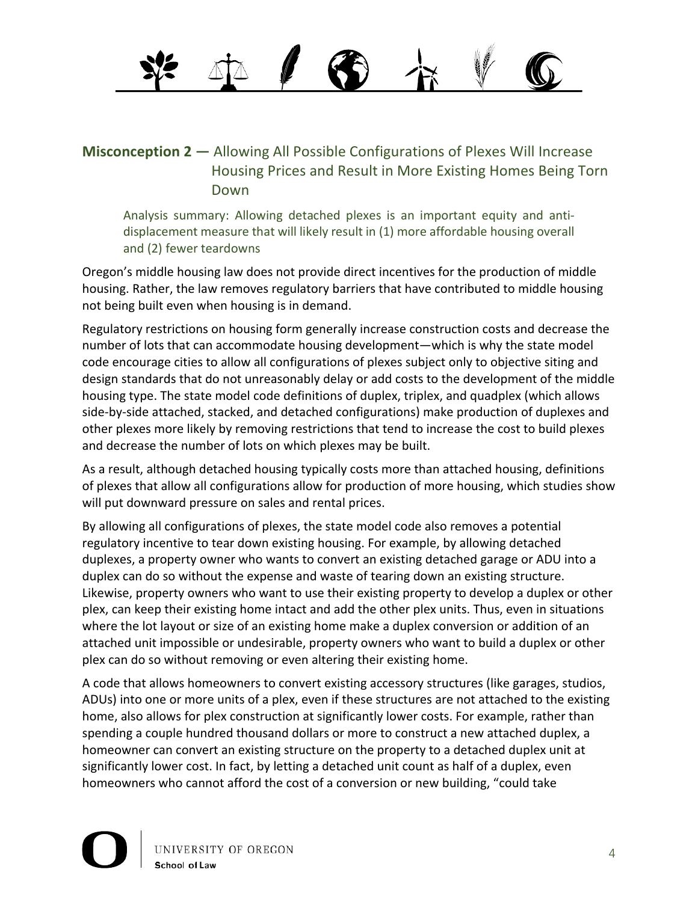### **Misconception 2** — Allowing All Possible Configurations of Plexes Will Increase Housing Prices and Result in More Existing Homes Being Torn Down

Analysis summary: Allowing detached plexes is an important equity and antidisplacement measure that will likely result in (1) more affordable housing overall and (2) fewer teardowns

Oregon's middle housing law does not provide direct incentives for the production of middle housing. Rather, the law removes regulatory barriers that have contributed to middle housing not being built even when housing is in demand.

Regulatory restrictions on housing form generally increase construction costs and decrease the number of lots that can accommodate housing development—which is why the state model code encourage cities to allow all configurations of plexes subject only to objective siting and design standards that do not unreasonably delay or add costs to the development of the middle housing type. The state model code definitions of duplex, triplex, and quadplex (which allows side-by-side attached, stacked, and detached configurations) make production of duplexes and other plexes more likely by removing restrictions that tend to increase the cost to build plexes and decrease the number of lots on which plexes may be built.

As a result, although detached housing typically costs more than attached housing, definitions of plexes that allow all configurations allow for production of more housing, which studies show will put downward pressure on sales and rental prices.

By allowing all configurations of plexes, the state model code also removes a potential regulatory incentive to tear down existing housing. For example, by allowing detached duplexes, a property owner who wants to convert an existing detached garage or ADU into a duplex can do so without the expense and waste of tearing down an existing structure. Likewise, property owners who want to use their existing property to develop a duplex or other plex, can keep their existing home intact and add the other plex units. Thus, even in situations where the lot layout or size of an existing home make a duplex conversion or addition of an attached unit impossible or undesirable, property owners who want to build a duplex or other plex can do so without removing or even altering their existing home.

A code that allows homeowners to convert existing accessory structures (like garages, studios, ADUs) into one or more units of a plex, even if these structures are not attached to the existing home, also allows for plex construction at significantly lower costs. For example, rather than spending a couple hundred thousand dollars or more to construct a new attached duplex, a homeowner can convert an existing structure on the property to a detached duplex unit at significantly lower cost. In fact, by letting a detached unit count as half of a duplex, even homeowners who cannot afford the cost of a conversion or new building, "could take

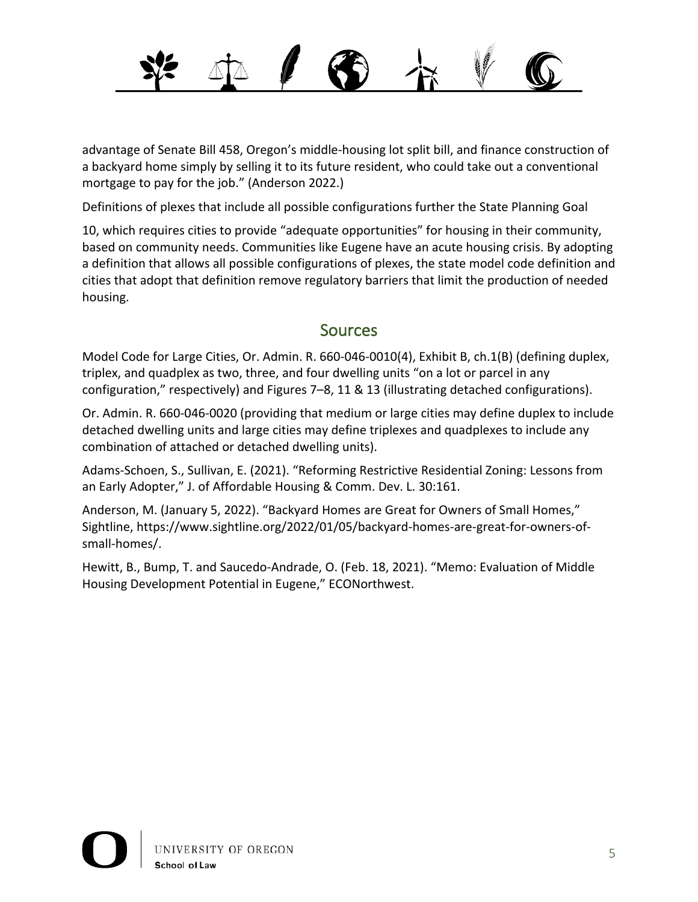

advantage of Senate Bill 458, Oregon's middle-housing lot split bill, and finance construction of a backyard home simply by selling it to its future resident, who could take out a conventional mortgage to pay for the job." (Anderson 2022.)

Definitions of plexes that include all possible configurations further the State Planning Goal

10, which requires cities to provide "adequate opportunities" for housing in their community, based on community needs. Communities like Eugene have an acute housing crisis. By adopting a definition that allows all possible configurations of plexes, the state model code definition and cities that adopt that definition remove regulatory barriers that limit the production of needed housing.

## Sources

Model Code for Large Cities, Or. Admin. R. 660-046-0010(4), Exhibit B, ch.1(B) (defining duplex, triplex, and quadplex as two, three, and four dwelling units "on a lot or parcel in any configuration," respectively) and Figures 7–8, 11 & 13 (illustrating detached configurations).

Or. Admin. R. 660-046-0020 (providing that medium or large cities may define duplex to include detached dwelling units and large cities may define triplexes and quadplexes to include any combination of attached or detached dwelling units).

Adams-Schoen, S., Sullivan, E. (2021). "Reforming Restrictive Residential Zoning: Lessons from an Early Adopter," J. of Affordable Housing & Comm. Dev. L. 30:161.

Anderson, M. (January 5, 2022). "Backyard Homes are Great for Owners of Small Homes," Sightline, https://www.sightline.org/2022/01/05/backyard-homes-are-great-for-owners-ofsmall-homes/.

Hewitt, B., Bump, T. and Saucedo-Andrade, O. (Feb. 18, 2021). "Memo: Evaluation of Middle Housing Development Potential in Eugene," ECONorthwest.

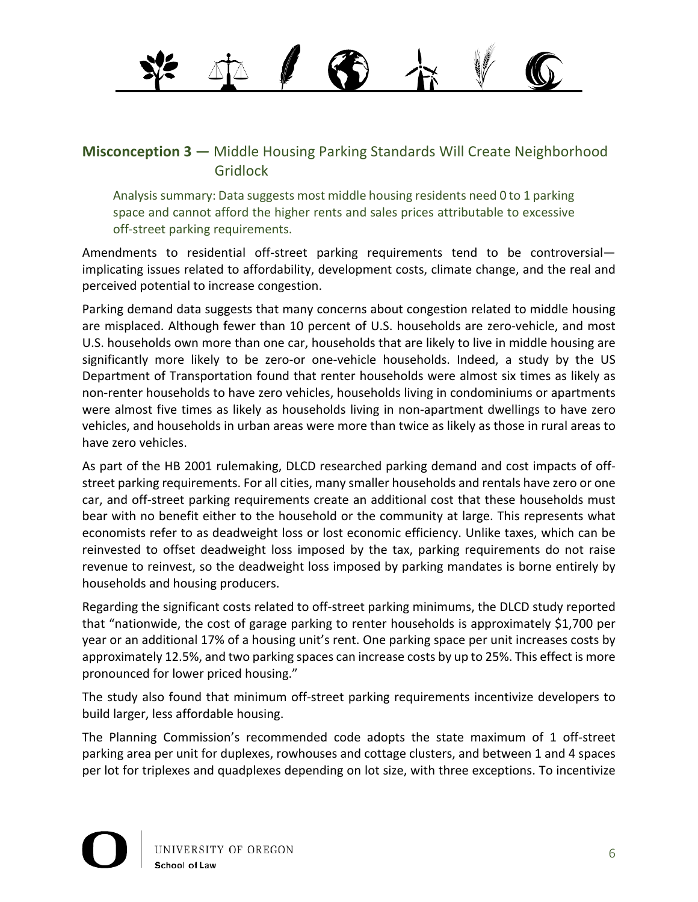#### **Misconception 3** — Middle Housing Parking Standards Will Create Neighborhood Gridlock

Analysis summary: Data suggests most middle housing residents need 0 to 1 parking space and cannot afford the higher rents and sales prices attributable to excessive off-street parking requirements.

Amendments to residential off-street parking requirements tend to be controversial implicating issues related to affordability, development costs, climate change, and the real and perceived potential to increase congestion.

Parking demand data suggests that many concerns about congestion related to middle housing are misplaced. Although fewer than 10 percent of U.S. households are zero-vehicle, and most U.S. households own more than one car, households that are likely to live in middle housing are significantly more likely to be zero-or one-vehicle households. Indeed, a study by the US Department of Transportation found that renter households were almost six times as likely as non-renter households to have zero vehicles, households living in condominiums or apartments were almost five times as likely as households living in non-apartment dwellings to have zero vehicles, and households in urban areas were more than twice as likely as those in rural areas to have zero vehicles.

As part of the HB 2001 rulemaking, DLCD researched parking demand and cost impacts of offstreet parking requirements. For all cities, many smaller households and rentals have zero or one car, and off-street parking requirements create an additional cost that these households must bear with no benefit either to the household or the community at large. This represents what economists refer to as deadweight loss or lost economic efficiency. Unlike taxes, which can be reinvested to offset deadweight loss imposed by the tax, parking requirements do not raise revenue to reinvest, so the deadweight loss imposed by parking mandates is borne entirely by households and housing producers.

Regarding the significant costs related to off-street parking minimums, the DLCD study reported that "nationwide, the cost of garage parking to renter households is approximately \$1,700 per year or an additional 17% of a housing unit's rent. One parking space per unit increases costs by approximately 12.5%, and two parking spaces can increase costs by up to 25%. This effect is more pronounced for lower priced housing."

The study also found that minimum off-street parking requirements incentivize developers to build larger, less affordable housing.

The Planning Commission's recommended code adopts the state maximum of 1 off-street parking area per unit for duplexes, rowhouses and cottage clusters, and between 1 and 4 spaces per lot for triplexes and quadplexes depending on lot size, with three exceptions. To incentivize

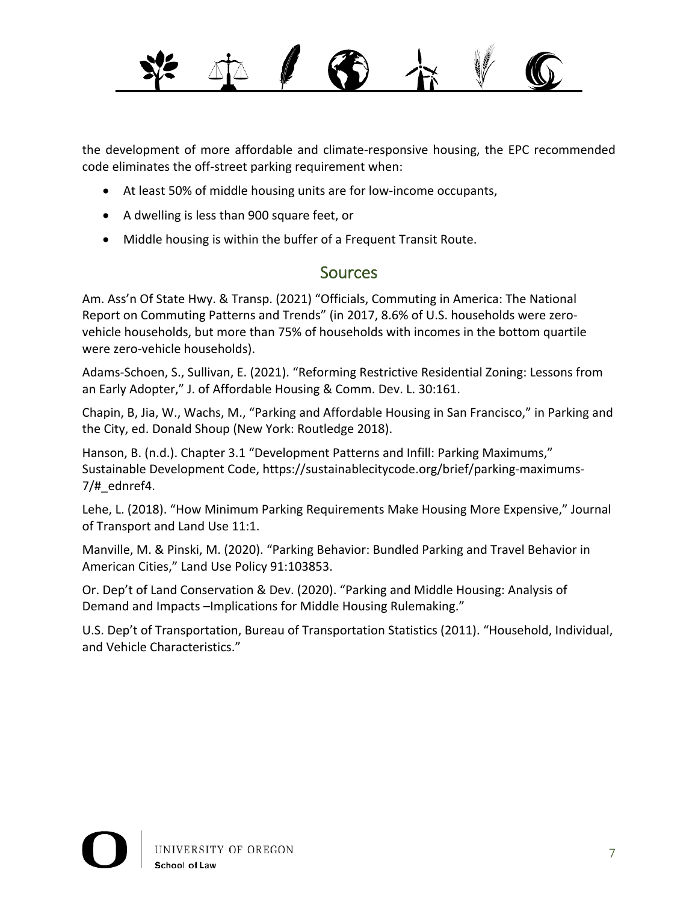

the development of more affordable and climate-responsive housing, the EPC recommended code eliminates the off-street parking requirement when:

- At least 50% of middle housing units are for low-income occupants,
- A dwelling is less than 900 square feet, or
- Middle housing is within the buffer of a Frequent Transit Route.

#### **Sources**

Am. Ass'n Of State Hwy. & Transp. (2021) "Officials, Commuting in America: The National Report on Commuting Patterns and Trends" (in 2017, 8.6% of U.S. households were zerovehicle households, but more than 75% of households with incomes in the bottom quartile were zero-vehicle households).

Adams-Schoen, S., Sullivan, E. (2021). "Reforming Restrictive Residential Zoning: Lessons from an Early Adopter," J. of Affordable Housing & Comm. Dev. L. 30:161.

Chapin, B, Jia, W., Wachs, M., "Parking and Affordable Housing in San Francisco," in Parking and the City, ed. Donald Shoup (New York: Routledge 2018).

Hanson, B. (n.d.). Chapter 3.1 "Development Patterns and Infill: Parking Maximums," Sustainable Development Code, https://sustainablecitycode.org/brief/parking-maximums- $7/$ # ednref4.

Lehe, L. (2018). "How Minimum Parking Requirements Make Housing More Expensive," Journal of Transport and Land Use 11:1.

Manville, M. & Pinski, M. (2020). "Parking Behavior: Bundled Parking and Travel Behavior in American Cities," Land Use Policy 91:103853.

Or. Dep't of Land Conservation & Dev. (2020). "Parking and Middle Housing: Analysis of Demand and Impacts –Implications for Middle Housing Rulemaking."

U.S. Dep't of Transportation, Bureau of Transportation Statistics (2011). "Household, Individual, and Vehicle Characteristics."

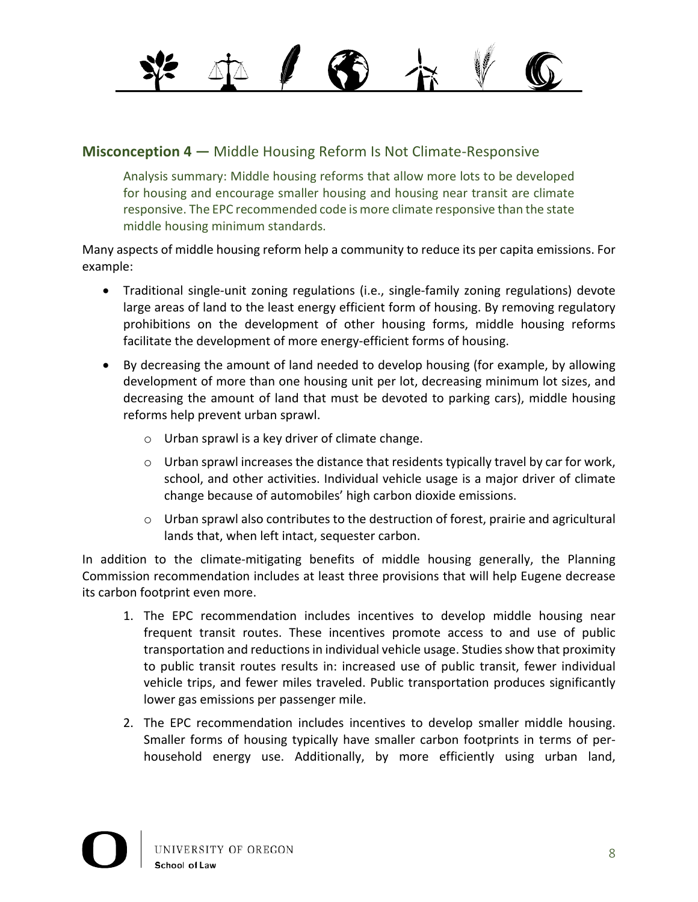**Misconception 4** — Middle Housing Reform Is Not Climate-Responsive

Analysis summary: Middle housing reforms that allow more lots to be developed for housing and encourage smaller housing and housing near transit are climate responsive. The EPC recommended code is more climate responsive than the state middle housing minimum standards.

Many aspects of middle housing reform help a community to reduce its per capita emissions. For example:

- Traditional single-unit zoning regulations (i.e., single-family zoning regulations) devote large areas of land to the least energy efficient form of housing. By removing regulatory prohibitions on the development of other housing forms, middle housing reforms facilitate the development of more energy-efficient forms of housing.
- By decreasing the amount of land needed to develop housing (for example, by allowing development of more than one housing unit per lot, decreasing minimum lot sizes, and decreasing the amount of land that must be devoted to parking cars), middle housing reforms help prevent urban sprawl.
	- o Urban sprawl is a key driver of climate change.
	- $\circ$  Urban sprawl increases the distance that residents typically travel by car for work, school, and other activities. Individual vehicle usage is a major driver of climate change because of automobiles' high carbon dioxide emissions.
	- o Urban sprawl also contributes to the destruction of forest, prairie and agricultural lands that, when left intact, sequester carbon.

In addition to the climate-mitigating benefits of middle housing generally, the Planning Commission recommendation includes at least three provisions that will help Eugene decrease its carbon footprint even more.

- 1. The EPC recommendation includes incentives to develop middle housing near frequent transit routes. These incentives promote access to and use of public transportation and reductions in individual vehicle usage. Studies show that proximity to public transit routes results in: increased use of public transit, fewer individual vehicle trips, and fewer miles traveled. Public transportation produces significantly lower gas emissions per passenger mile.
- 2. The EPC recommendation includes incentives to develop smaller middle housing. Smaller forms of housing typically have smaller carbon footprints in terms of perhousehold energy use. Additionally, by more efficiently using urban land,

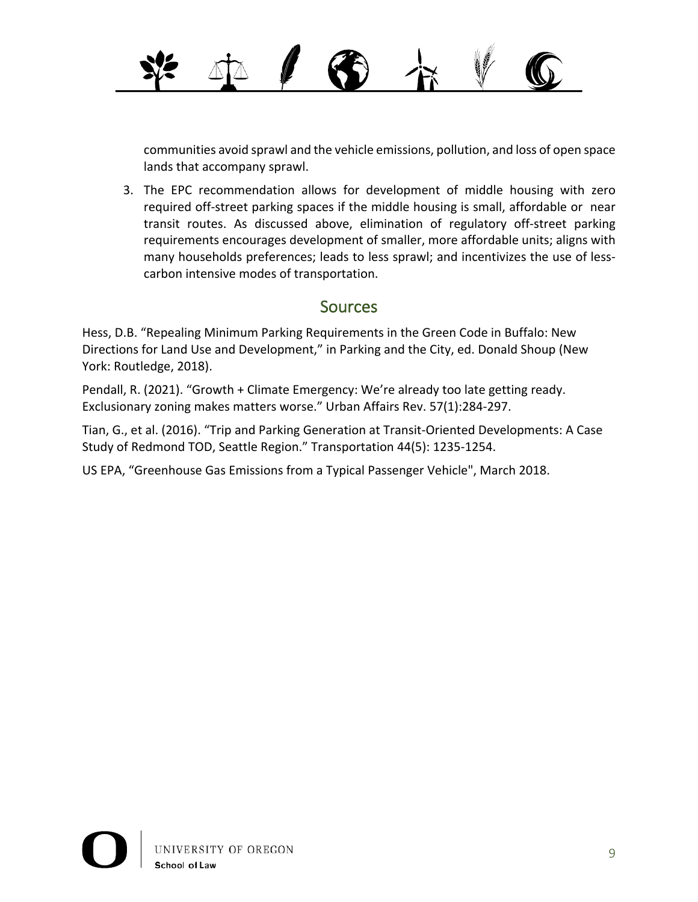communities avoid sprawl and the vehicle emissions, pollution, and loss of open space lands that accompany sprawl.

3. The EPC recommendation allows for development of middle housing with zero required off-street parking spaces if the middle housing is small, affordable or near transit routes. As discussed above, elimination of regulatory off-street parking requirements encourages development of smaller, more affordable units; aligns with many households preferences; leads to less sprawl; and incentivizes the use of lesscarbon intensive modes of transportation.

#### **Sources**

Hess, D.B. "Repealing Minimum Parking Requirements in the Green Code in Buffalo: New Directions for Land Use and Development," in Parking and the City, ed. Donald Shoup (New York: Routledge, 2018).

Pendall, R. (2021). "Growth + Climate Emergency: We're already too late getting ready. Exclusionary zoning makes matters worse." Urban Affairs Rev. 57(1):284-297.

Tian, G., et al. (2016). "Trip and Parking Generation at Transit-Oriented Developments: A Case Study of Redmond TOD, Seattle Region." Transportation 44(5): 1235-1254.

US EPA, "Greenhouse Gas Emissions from a Typical Passenger Vehicle", March 2018.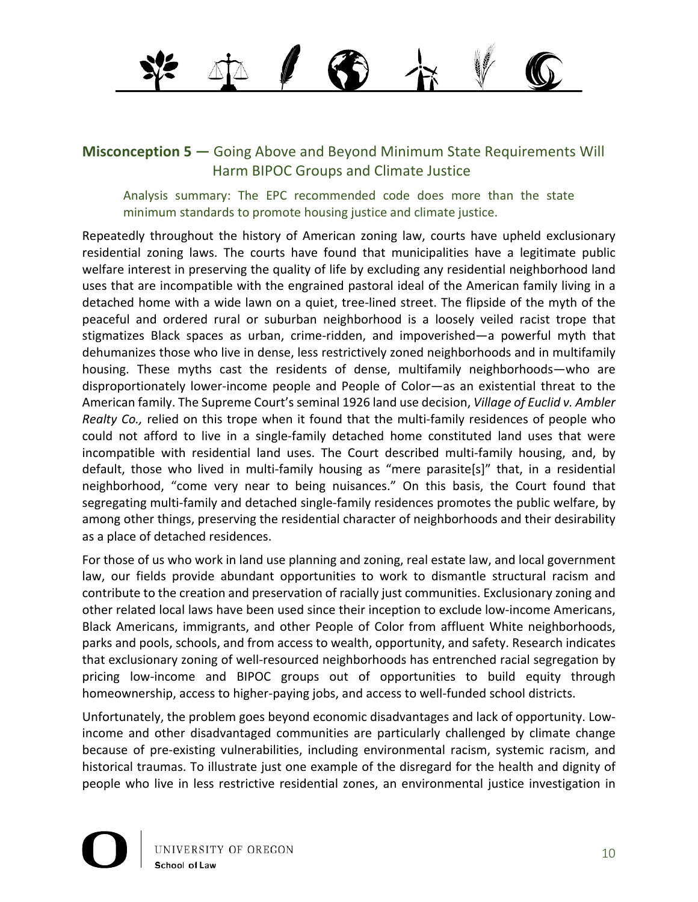#### **Misconception 5** — Going Above and Beyond Minimum State Requirements Will Harm BIPOC Groups and Climate Justice

Analysis summary: The EPC recommended code does more than the state minimum standards to promote housing justice and climate justice.

Repeatedly throughout the history of American zoning law, courts have upheld exclusionary residential zoning laws. The courts have found that municipalities have a legitimate public welfare interest in preserving the quality of life by excluding any residential neighborhood land uses that are incompatible with the engrained pastoral ideal of the American family living in a detached home with a wide lawn on a quiet, tree-lined street. The flipside of the myth of the peaceful and ordered rural or suburban neighborhood is a loosely veiled racist trope that stigmatizes Black spaces as urban, crime-ridden, and impoverished—a powerful myth that dehumanizes those who live in dense, less restrictively zoned neighborhoods and in multifamily housing. These myths cast the residents of dense, multifamily neighborhoods—who are disproportionately lower-income people and People of Color—as an existential threat to the American family. The Supreme Court's seminal 1926 land use decision, *Village of Euclid v. Ambler Realty Co.,* relied on this trope when it found that the multi-family residences of people who could not afford to live in a single-family detached home constituted land uses that were incompatible with residential land uses. The Court described multi-family housing, and, by default, those who lived in multi-family housing as "mere parasite[s]" that, in a residential neighborhood, "come very near to being nuisances." On this basis, the Court found that segregating multi-family and detached single-family residences promotes the public welfare, by among other things, preserving the residential character of neighborhoods and their desirability as a place of detached residences.

For those of us who work in land use planning and zoning, real estate law, and local government law, our fields provide abundant opportunities to work to dismantle structural racism and contribute to the creation and preservation of racially just communities. Exclusionary zoning and other related local laws have been used since their inception to exclude low-income Americans, Black Americans, immigrants, and other People of Color from affluent White neighborhoods, parks and pools, schools, and from access to wealth, opportunity, and safety. Research indicates that exclusionary zoning of well-resourced neighborhoods has entrenched racial segregation by pricing low-income and BIPOC groups out of opportunities to build equity through homeownership, access to higher-paying jobs, and access to well-funded school districts.

Unfortunately, the problem goes beyond economic disadvantages and lack of opportunity. Lowincome and other disadvantaged communities are particularly challenged by climate change because of pre-existing vulnerabilities, including environmental racism, systemic racism, and historical traumas. To illustrate just one example of the disregard for the health and dignity of people who live in less restrictive residential zones, an environmental justice investigation in

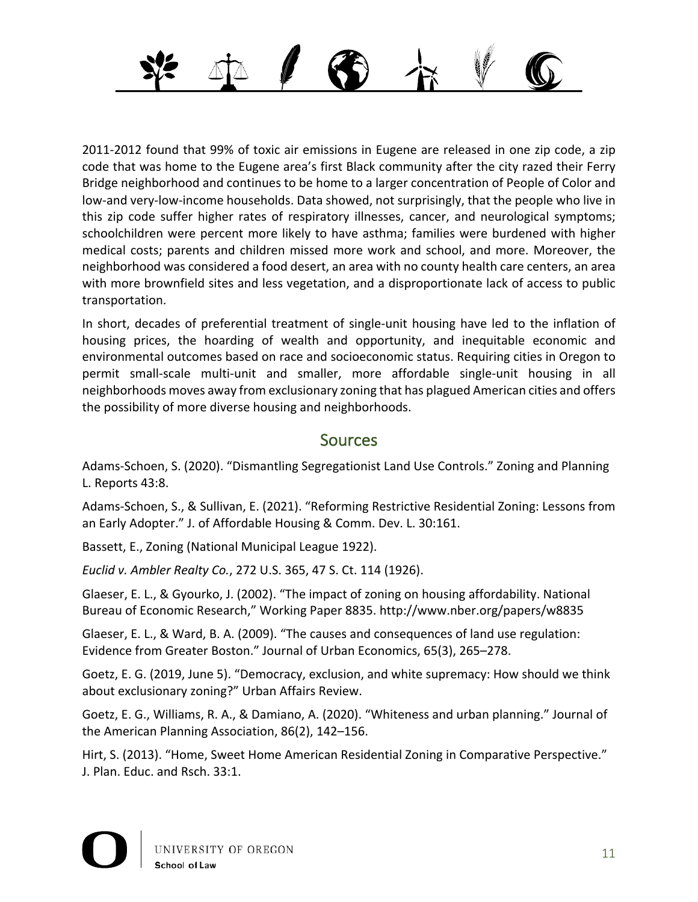

2011-2012 found that 99% of toxic air emissions in Eugene are released in one zip code, a zip code that was home to the Eugene area's first Black community after the city razed their Ferry Bridge neighborhood and continues to be home to a larger concentration of People of Color and low-and very-low-income households. Data showed, not surprisingly, that the people who live in this zip code suffer higher rates of respiratory illnesses, cancer, and neurological symptoms; schoolchildren were percent more likely to have asthma; families were burdened with higher medical costs; parents and children missed more work and school, and more. Moreover, the neighborhood was considered a food desert, an area with no county health care centers, an area with more brownfield sites and less vegetation, and a disproportionate lack of access to public transportation.

In short, decades of preferential treatment of single-unit housing have led to the inflation of housing prices, the hoarding of wealth and opportunity, and inequitable economic and environmental outcomes based on race and socioeconomic status. Requiring cities in Oregon to permit small-scale multi-unit and smaller, more affordable single-unit housing in all neighborhoods moves away from exclusionary zoning that has plagued American cities and offers the possibility of more diverse housing and neighborhoods.

#### **Sources**

Adams-Schoen, S. (2020). "Dismantling Segregationist Land Use Controls." Zoning and Planning L. Reports 43:8.

Adams-Schoen, S., & Sullivan, E. (2021). "Reforming Restrictive Residential Zoning: Lessons from an Early Adopter." J. of Affordable Housing & Comm. Dev. L. 30:161.

Bassett, E., Zoning (National Municipal League 1922).

*Euclid v. Ambler Realty Co.*, 272 U.S. 365, 47 S. Ct. 114 (1926).

Glaeser, E. L., & Gyourko, J. (2002). "The impact of zoning on housing affordability. National Bureau of Economic Research," Working Paper 8835. http://www.nber.org/papers/w8835

Glaeser, E. L., & Ward, B. A. (2009). "The causes and consequences of land use regulation: Evidence from Greater Boston." Journal of Urban Economics, 65(3), 265–278.

Goetz, E. G. (2019, June 5). "Democracy, exclusion, and white supremacy: How should we think about exclusionary zoning?" Urban Affairs Review.

Goetz, E. G., Williams, R. A., & Damiano, A. (2020). "Whiteness and urban planning." Journal of the American Planning Association, 86(2), 142–156.

Hirt, S. (2013). "Home, Sweet Home American Residential Zoning in Comparative Perspective." J. Plan. Educ. and Rsch. 33:1.